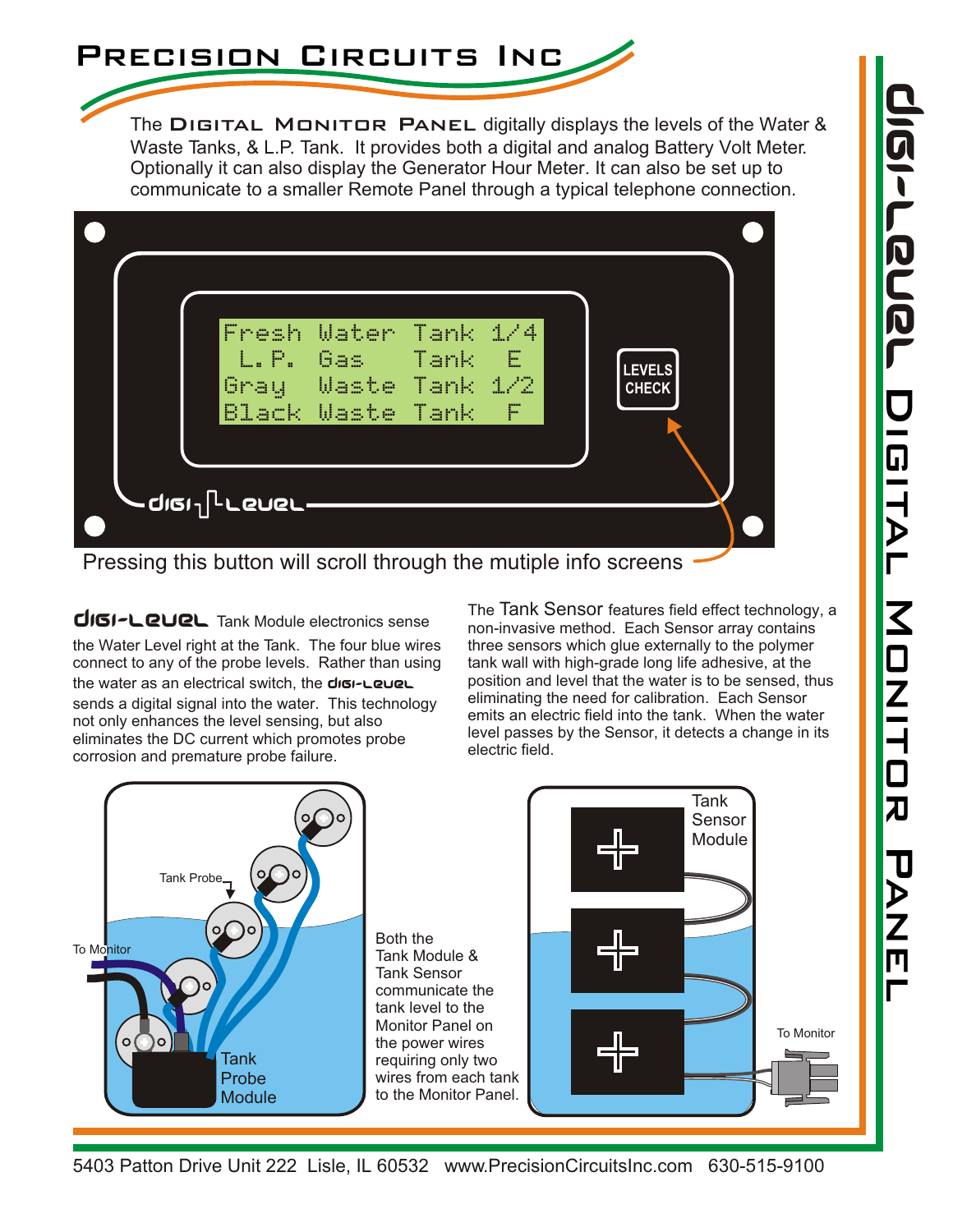

The DIGITAL MONITOR PANEL digitally displays the levels of the Water & Waste Tanks, & L.P. Tank. It provides both a digital and analog Battery Volt Meter. Optionally it can also display the Generator Hour Meter. It can also be set up to communicate to a smaller Remote Panel through a typical telephone connection.

| illu Pui<br>Gray              | Fresh Water Tank 1/4<br>Gas -<br><b>Waste Tank</b><br>Black Waste Tank | Tank | - E<br>$-1/2$<br>- F | <b>LEVELS</b><br><b>CHECK</b> |  |
|-------------------------------|------------------------------------------------------------------------|------|----------------------|-------------------------------|--|
| -diei l <sub>i</sub> r rener- |                                                                        |      |                      |                               |  |

Pressing this button will scroll through the mutiple info screens

DIGI-LEVEL Tank Module electronics sense the Water Level right at the Tank. The four blue wires connect to any of the probe levels. Rather than using the water as an electrical switch, the digi-LeueL sends a digital signal into the water. This technology not only enhances the level sensing, but also eliminates the DC current which promotes probe corrosion and premature probe failure.

The Tank Sensor features field effect technology, a non-invasive method. Each Sensor array contains three sensors which glue externally to the polymer tank wall with high-grade long life adhesive, at the position and level that the water is to be sensed, thus eliminating the need for calibration. Each Sensor emits an electric field into the tank. When the water level passes by the Sensor, it detects a change in its electric field.